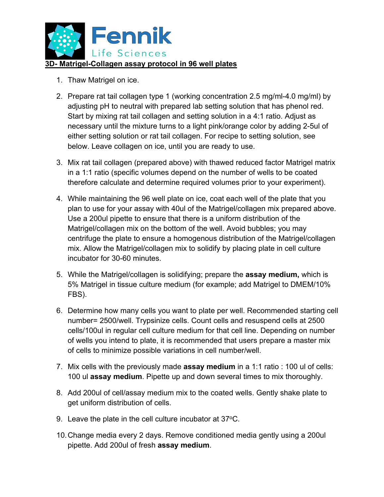

- 1. Thaw Matrigel on ice.
- 2. Prepare rat tail collagen type 1 (working concentration 2.5 mg/ml-4.0 mg/ml) by adjusting pH to neutral with prepared lab setting solution that has phenol red. Start by mixing rat tail collagen and setting solution in a 4:1 ratio. Adjust as necessary until the mixture turns to a light pink/orange color by adding 2-5ul of either setting solution or rat tail collagen. For recipe to setting solution, see below. Leave collagen on ice, until you are ready to use.
- 3. Mix rat tail collagen (prepared above) with thawed reduced factor Matrigel matrix in a 1:1 ratio (specific volumes depend on the number of wells to be coated therefore calculate and determine required volumes prior to your experiment).
- 4. While maintaining the 96 well plate on ice, coat each well of the plate that you plan to use for your assay with 40ul of the Matrigel/collagen mix prepared above. Use a 200ul pipette to ensure that there is a uniform distribution of the Matrigel/collagen mix on the bottom of the well. Avoid bubbles; you may centrifuge the plate to ensure a homogenous distribution of the Matrigel/collagen mix. Allow the Matrigel/collagen mix to solidify by placing plate in cell culture incubator for 30-60 minutes.
- 5. While the Matrigel/collagen is solidifying; prepare the **assay medium,** which is 5% Matrigel in tissue culture medium (for example; add Matrigel to DMEM/10% FBS).
- 6. Determine how many cells you want to plate per well. Recommended starting cell number= 2500/well. Trypsinize cells. Count cells and resuspend cells at 2500 cells/100ul in regular cell culture medium for that cell line. Depending on number of wells you intend to plate, it is recommended that users prepare a master mix of cells to minimize possible variations in cell number/well.
- 7. Mix cells with the previously made **assay medium** in a 1:1 ratio : 100 ul of cells: 100 ul **assay medium**. Pipette up and down several times to mix thoroughly.
- 8. Add 200ul of cell/assay medium mix to the coated wells. Gently shake plate to get uniform distribution of cells.
- 9. Leave the plate in the cell culture incubator at  $37^{\circ}$ C.
- 10.Change media every 2 days. Remove conditioned media gently using a 200ul pipette. Add 200ul of fresh **assay medium**.